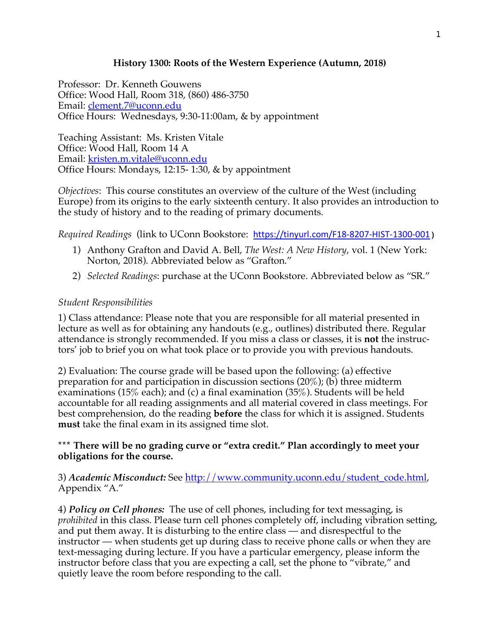# **History 1300: Roots of the Western Experience (Autumn, 2018)**

Professor: Dr. Kenneth Gouwens Office: Wood Hall, Room 318, (860) 486-3750 Email: clement.7@uconn.edu Office Hours: Wednesdays, 9:30-11:00am, & by appointment

Teaching Assistant: Ms. Kristen Vitale Office: Wood Hall, Room 14 A Email: kristen.m.vitale@uconn.edu Office Hours: Mondays, 12:15- 1:30, & by appointment

*Objectives*: This course constitutes an overview of the culture of the West (including Europe) from its origins to the early sixteenth century. It also provides an introduction to the study of history and to the reading of primary documents.

*Required Readings* (link to UConn Bookstore: https://tinyurl.com/F18-8207-HIST-1300-001)

- 1) Anthony Grafton and David A. Bell, *The West: A New History*, vol. 1 (New York: Norton, 2018). Abbreviated below as "Grafton."
- 2) *Selected Readings*: purchase at the UConn Bookstore. Abbreviated below as "SR."

#### *Student Responsibilities*

1) Class attendance: Please note that you are responsible for all material presented in lecture as well as for obtaining any handouts (e.g., outlines) distributed there. Regular attendance is strongly recommended. If you miss a class or classes, it is **not** the instructors' job to brief you on what took place or to provide you with previous handouts.

2) Evaluation: The course grade will be based upon the following: (a) effective preparation for and participation in discussion sections  $(20\%)$ ; (b) three midterm examinations (15% each); and (c) a final examination (35%). Students will be held accountable for all reading assignments and all material covered in class meetings. For best comprehension, do the reading **before** the class for which it is assigned. Students **must** take the final exam in its assigned time slot.

# **\*\*\* There will be no grading curve or "extra credit." Plan accordingly to meet your obligations for the course.**

# 3) *Academic Misconduct:* See http://www.community.uconn.edu/student\_code.html, Appendix "A."

4) *Policy on Cell phones:* The use of cell phones, including for text messaging, is *prohibited* in this class. Please turn cell phones completely off, including vibration setting, and put them away. It is disturbing to the entire class — and disrespectful to the instructor — when students get up during class to receive phone calls or when they are text-messaging during lecture. If you have a particular emergency, please inform the instructor before class that you are expecting a call, set the phone to "vibrate," and quietly leave the room before responding to the call.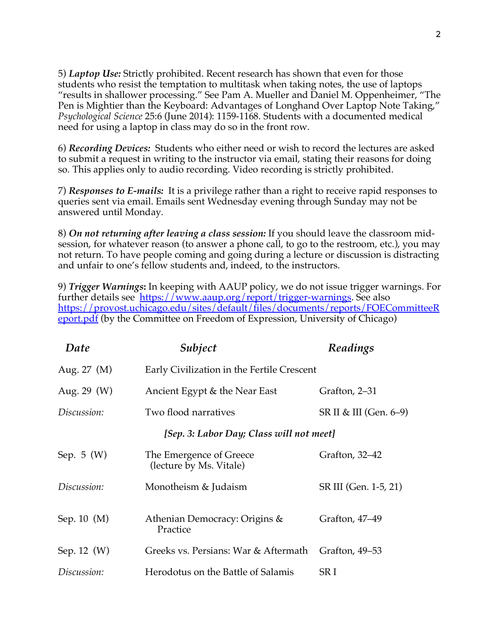5) *Laptop Use:* Strictly prohibited. Recent research has shown that even for those students who resist the temptation to multitask when taking notes, the use of laptops "results in shallower processing." See Pam A. Mueller and Daniel M. Oppenheimer, "The Pen is Mightier than the Keyboard: Advantages of Longhand Over Laptop Note Taking," *Psychological Science* 25:6 (June 2014): 1159-1168. Students with a documented medical need for using a laptop in class may do so in the front row.

6) *Recording Devices:* Students who either need or wish to record the lectures are asked to submit a request in writing to the instructor via email, stating their reasons for doing so. This applies only to audio recording. Video recording is strictly prohibited.

7) *Responses to E-mails:* It is a privilege rather than a right to receive rapid responses to queries sent via email. Emails sent Wednesday evening through Sunday may not be answered until Monday.

8) *On not returning after leaving a class session:* If you should leave the classroom midsession, for whatever reason (to answer a phone call, to go to the restroom, etc.), you may not return. To have people coming and going during a lecture or discussion is distracting and unfair to one's fellow students and, indeed, to the instructors.

9) *Trigger Warnings***:** In keeping with AAUP policy, we do not issue trigger warnings. For further details see https://www.aaup.org/report/trigger-warnings. See also https://provost.uchicago.edu/sites/default/files/documents/reports/FOECommitteeR eport.pdf (by the Committee on Freedom of Expression, University of Chicago)

| Date            | Subject                                            | Readings               |
|-----------------|----------------------------------------------------|------------------------|
| Aug. 27 (M)     | Early Civilization in the Fertile Crescent         |                        |
| Aug. $29 \ (W)$ | Ancient Egypt & the Near East                      | Grafton, 2–31          |
| Discussion:     | Two flood narratives                               | SR II & III (Gen. 6–9) |
|                 | [Sep. 3: Labor Day; Class will not meet]           |                        |
| Sep. $5(W)$     | The Emergence of Greece<br>(lecture by Ms. Vitale) | Grafton, 32–42         |
| Discussion:     | Monotheism & Judaism                               | SR III (Gen. 1-5, 21)  |
| Sep. $10 \ (M)$ | Athenian Democracy: Origins &<br>Practice          | Grafton, 47–49         |
| Sep. 12 (W)     | Greeks vs. Persians: War & Aftermath               | Grafton, 49–53         |
| Discussion:     | Herodotus on the Battle of Salamis                 | SR I                   |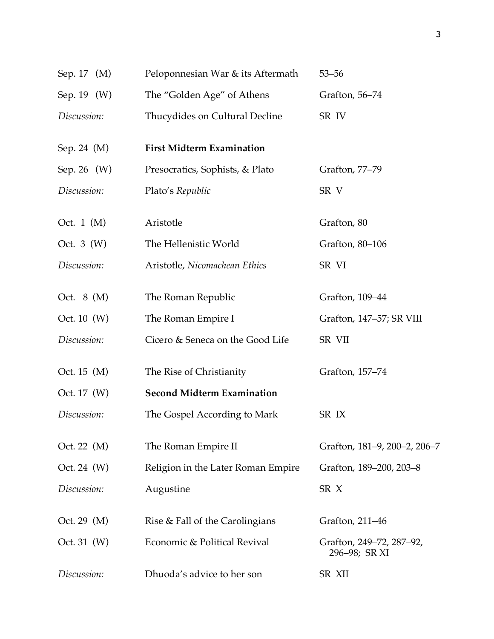| Sep. 17 (M)      | Peloponnesian War & its Aftermath  | $53 - 56$                                 |
|------------------|------------------------------------|-------------------------------------------|
| Sep. 19 (W)      | The "Golden Age" of Athens         | Grafton, 56–74                            |
| Discussion:      | Thucydides on Cultural Decline     | SR IV                                     |
| Sep. 24 (M)      | <b>First Midterm Examination</b>   |                                           |
| Sep. 26 (W)      | Presocratics, Sophists, & Plato    | Grafton, 77-79                            |
| Discussion:      | Plato's Republic                   | SR V                                      |
| Oct. $1 \ (M)$   | Aristotle                          | Grafton, 80                               |
| Oct. $3(W)$      | The Hellenistic World              | Grafton, 80-106                           |
| Discussion:      | Aristotle, Nicomachean Ethics      | SR VI                                     |
| Oct. $8 \ (M)$   | The Roman Republic                 | Grafton, 109-44                           |
| Oct. $10 \, (W)$ | The Roman Empire I                 | Grafton, 147–57; SR VIII                  |
| Discussion:      | Cicero & Seneca on the Good Life   | SR VII                                    |
| Oct. 15 (M)      | The Rise of Christianity           | Grafton, 157–74                           |
| Oct. $17 \, (W)$ | <b>Second Midterm Examination</b>  |                                           |
| Discussion:      | The Gospel According to Mark       | SR IX                                     |
| Oct. 22 $(M)$    | The Roman Empire II                | Grafton, 181-9, 200-2, 206-7              |
| Oct. 24 $(W)$    | Religion in the Later Roman Empire | Grafton, 189-200, 203-8                   |
| Discussion:      | Augustine                          | SR X                                      |
| Oct. 29 $(M)$    | Rise & Fall of the Carolingians    | Grafton, 211–46                           |
| Oct. 31 $(W)$    | Economic & Political Revival       | Grafton, 249–72, 287–92,<br>296–98; SR XI |
| Discussion:      | Dhuoda's advice to her son         | SR XII                                    |